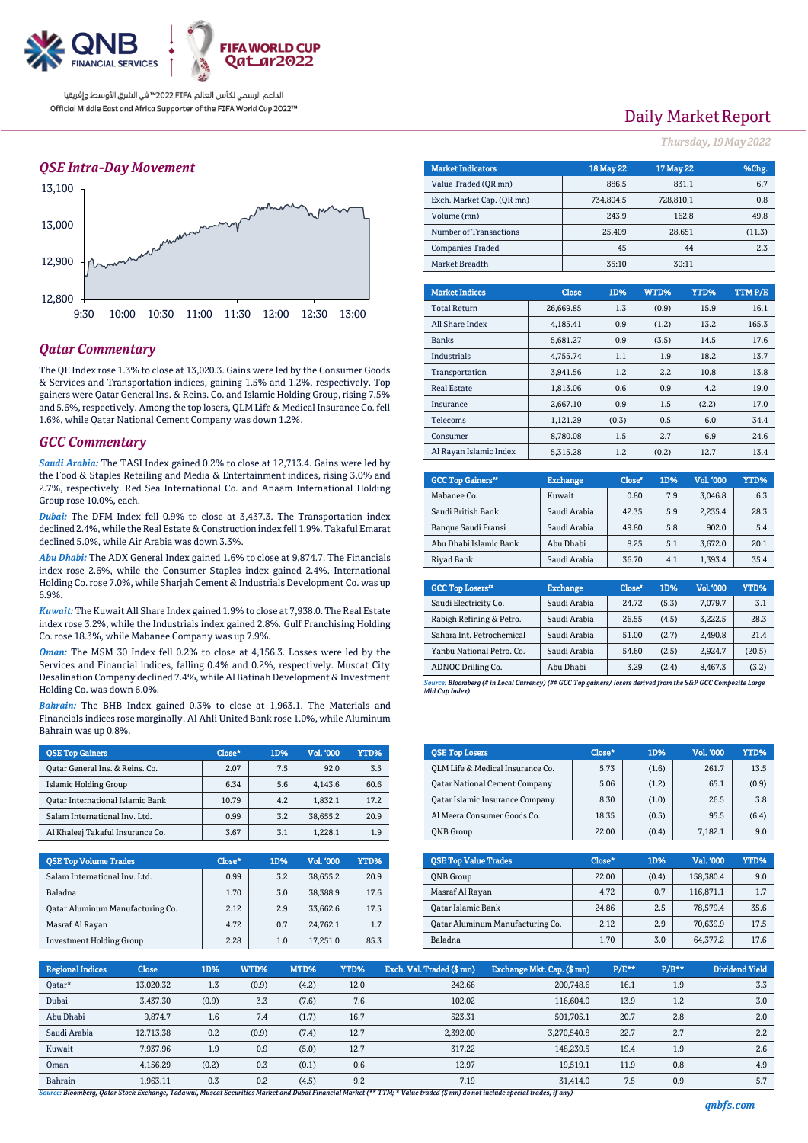

### *QSE Intra-Day Movement*



### *Qatar Commentary*

The QE Index rose 1.3% to close at 13,020.3. Gains were led by the Consumer Goods & Services and Transportation indices, gaining 1.5% and 1.2%, respectively. Top gainers were Qatar General Ins. & Reins. Co. and Islamic Holding Group, rising 7.5% and 5.6%, respectively. Among the top losers, QLM Life & Medical Insurance Co. fell 1.6%, while Qatar National Cement Company was down 1.2%.

### *GCC Commentary*

*Saudi Arabia:* The TASI Index gained 0.2% to close at 12,713.4. Gains were led by the Food & Staples Retailing and Media & Entertainment indices, rising 3.0% and 2.7%, respectively. Red Sea International Co. and Anaam International Holding Group rose 10.0%, each.

*Dubai:* The DFM Index fell 0.9% to close at 3,437.3. The Transportation index declined 2.4%, while the Real Estate & Construction index fell 1.9%. Takaful Emarat declined 5.0%, while Air Arabia was down 3.3%.

*Abu Dhabi:* The ADX General Index gained 1.6% to close at 9,874.7. The Financials index rose 2.6%, while the Consumer Staples index gained 2.4%. International Holding Co. rose 7.0%, while Sharjah Cement & Industrials Development Co. was up 6.9%.

*Kuwait:* The Kuwait All Share Index gained 1.9% to close at 7,938.0. The Real Estate index rose 3.2%, while the Industrials index gained 2.8%. Gulf Franchising Holding Co. rose 18.3%, while Mabanee Company was up 7.9%.

*Oman:* The MSM 30 Index fell 0.2% to close at 4,156.3. Losses were led by the Services and Financial indices, falling 0.4% and 0.2%, respectively. Muscat City Desalination Company declined 7.4%, while Al Batinah Development & Investment Holding Co. was down 6.0%.

*Bahrain:* The BHB Index gained 0.3% to close at 1,963.1. The Materials and Financials indices rose marginally. Al Ahli United Bank rose 1.0%, while Aluminum Bahrain was up 0.8%.

| <b>OSE Top Gainers</b>           | Close* | 1D% | <b>Vol. '000</b> | <b>YTD%</b> |
|----------------------------------|--------|-----|------------------|-------------|
| Oatar General Ins. & Reins. Co.  | 2.07   | 7.5 | 92.0             | 3.5         |
| Islamic Holding Group            | 6.34   | 5.6 | 4.143.6          | 60.6        |
| Oatar International Islamic Bank | 10.79  | 4.2 | 1.832.1          | 17.2        |
| Salam International Inv. Ltd.    | 0.99   | 3.2 | 38,655.2         | 20.9        |
| Al Khaleej Takaful Insurance Co. | 3.67   | 3.1 | 1.228.1          | 1.9         |

| <b>OSE Top Volume Trades</b>            | Close* | 1D% | Vol. '000 | YTD% |
|-----------------------------------------|--------|-----|-----------|------|
| Salam International Inv. Ltd.           | 0.99   | 3.2 | 38,655.2  | 20.9 |
| Baladna                                 | 1.70   | 3.0 | 38.388.9  | 17.6 |
| <b>Qatar Aluminum Manufacturing Co.</b> | 2.12   | 2.9 | 33.662.6  | 17.5 |
| Masraf Al Rayan                         | 4.72   | 0.7 | 24.762.1  | 1.7  |
| <b>Investment Holding Group</b>         | 2.28   | 1.0 | 17.251.0  | 85.3 |

## Daily Market Report

*Thursday, 19May 2022*

| <b>Market Indicators</b>  |  |              | <b>18 May 22</b> | 17 May 22 |        |     | %Chg.  |
|---------------------------|--|--------------|------------------|-----------|--------|-----|--------|
| Value Traded (OR mn)      |  | 886.5        |                  | 831.1     | 6.7    |     |        |
| Exch. Market Cap. (QR mn) |  |              | 734,804.5        | 728,810.1 |        | 0.8 |        |
| Volume (mn)               |  |              | 243.9            |           | 162.8  |     | 49.8   |
| Number of Transactions    |  |              | 25,409           |           | 28,651 |     | (11.3) |
| <b>Companies Traded</b>   |  |              | 45               |           | 44     |     | 2.3    |
| Market Breadth            |  |              | 35:10            |           | 30:11  |     |        |
|                           |  |              |                  |           |        |     |        |
| <b>Market Indices</b>     |  | <b>Close</b> | 1D%              | WTD%      | YTD%   |     | TTMP/E |
| <b>Total Return</b>       |  | 26,669.85    | 1.3              | (0.9)     | 15.9   |     | 16.1   |
| All Share Index           |  | 4,185.41     | 0.9              | (1.2)     | 13.2   |     | 165.3  |
| <b>Banks</b>              |  | 5,681.27     | 0.9              | (3.5)     | 14.5   |     | 17.6   |
| Industrials               |  | 4,755.74     | 1.1              | 1.9       | 18.2   |     | 13.7   |
| Transportation            |  | 3.941.56     | 1.2              | 2.2       | 10.8   |     | 13.8   |
| <b>Real Estate</b>        |  | 1,813.06     | 0.6              | 0.9       |        | 4.2 | 19.0   |
| Insurance                 |  | 2,667.10     | 0.9              | 1.5       | (2.2)  |     | 17.0   |
| Telecoms                  |  | 1,121.29     | (0.3)            | 0.5       |        | 6.0 | 34.4   |
| Consumer                  |  | 8,780.08     | 1.5              | 2.7       |        | 6.9 | 24.6   |
| Al Rayan Islamic Index    |  | 5,315.28     | 1.2              | (0.2)     | 12.7   |     | 13.4   |

| <b>GCC Top Gainers"</b> | <b>Exchange</b> | Close* | 1D% | Vol. '000 | YTD% |
|-------------------------|-----------------|--------|-----|-----------|------|
| Mabanee Co.             | Kuwait          | 0.80   | 7.9 | 3.046.8   | 6.3  |
| Saudi British Bank      | Saudi Arabia    | 42.35  | 5.9 | 2.235.4   | 28.3 |
| Banque Saudi Fransi     | Saudi Arabia    | 49.80  | 5.8 | 902.0     | 5.4  |
| Abu Dhabi Islamic Bank  | Abu Dhabi       | 8.25   | 5.1 | 3.672.0   | 20.1 |
| Riyad Bank              | Saudi Arabia    | 36.70  | 4.1 | 1.393.4   | 35.4 |

| <b>GCC Top Losers</b> "   | <b>Exchange</b> | Close <sup>®</sup> | 1D%   | Vol. '000 | YTD%   |
|---------------------------|-----------------|--------------------|-------|-----------|--------|
| Saudi Electricity Co.     | Saudi Arabia    | 24.72              | (5.3) | 7.079.7   | 3.1    |
| Rabigh Refining & Petro.  | Saudi Arabia    | 26.55              | (4.5) | 3.222.5   | 28.3   |
| Sahara Int. Petrochemical | Saudi Arabia    | 51.00              | (2.7) | 2,490.8   | 21.4   |
| Yanbu National Petro. Co. | Saudi Arabia    | 54.60              | (2.5) | 2,924.7   | (20.5) |
| ADNOC Drilling Co.        | Abu Dhabi       | 3.29               | (2.4) | 8,467.3   | (3.2)  |

*Source: Bloomberg (# in Local Currency) (## GCC Top gainers/ losers derived from the S&P GCC Composite Large Mid Cap Index)*

| <b>QSE Top Losers</b>                  | Close* | 1D%   | Vol. '000 | YTD%  |
|----------------------------------------|--------|-------|-----------|-------|
| OLM Life & Medical Insurance Co.       | 5.73   | (1.6) | 261.7     | 13.5  |
| <b>Qatar National Cement Company</b>   | 5.06   | (1.2) | 65.1      | (0.9) |
| <b>Qatar Islamic Insurance Company</b> | 8.30   | (1.0) | 26.5      | 3.8   |
| Al Meera Consumer Goods Co.            | 18.35  | (0.5) | 95.5      | (6.4) |
| <b>ONB</b> Group                       | 22.00  | (0.4) | 7.182.1   | 9.0   |
|                                        |        |       |           |       |
| <b>OSE Top Value Trades</b>            | Close* | 1D%   | Val. '000 | YTD%  |
| <b>ONB</b> Group                       | 22.00  | (0.4) | 158,380.4 | 9.0   |
| Masraf Al Rayan                        | 4.72   | 0.7   | 116,871.1 | 1.7   |
| Oatar Islamic Bank                     | 24.86  | 2.5   | 78.579.4  | 35.6  |

Qatar Aluminum Manufacturing Co. 2.12 2.9 70,639.9 17.5 Baladna 1.70 3.0 64,377.2 17.6

| <b>Regional Indices</b> | <b>Close</b> | 1D%   | WTD%  | MTD%  | YTD% | Exch. Val. Traded (\$mn) | Exchange Mkt. Cap. (\$mn) | $P/E***$ | $P/B**$ | Dividend Yield |
|-------------------------|--------------|-------|-------|-------|------|--------------------------|---------------------------|----------|---------|----------------|
| Qatar*                  | 13.020.32    | 1.3   | (0.9) | (4.2) | 12.0 | 242.66                   | 200.748.6                 | 16.1     | 1.9     | 3.3            |
| Dubai                   | 3.437.30     | (0.9) | 3.3   | (7.6) | 7.6  | 102.02                   | 116.604.0                 | 13.9     | 1.2     | 3.0            |
| Abu Dhabi               | 9,874.7      | 1.6   | 7.4   | (1.7) | 16.7 | 523.31                   | 501,705.1                 | 20.7     | 2.8     | 2.0            |
| Saudi Arabia            | 12,713.38    | 0.2   | (0.9) | (7.4) | 12.7 | 2,392.00                 | 3.270.540.8               | 22.7     | 2.7     | 2.2            |
| Kuwait                  | 7.937.96     | 1.9   | 0.9   | (5.0) | 12.7 | 317.22                   | 148.239.5                 | 19.4     | 1.9     | 2.6            |
| Oman                    | 4,156.29     | (0.2) | 0.3   | (0.1) | 0.6  | 12.97                    | 19.519.1                  | 11.9     | 0.8     | 4.9            |
| Bahrain                 | 1,963.11     | 0.3   | 0.2   | (4.5) | 9.2  | 7.19                     | 31.414.0                  | 7.5      | 0.9     | 5.7            |

*Source: Bloomberg, Qatar Stock Exchange, Tadawul, Muscat Securities Market and Dubai Financial Market (\*\* TTM; \* Value traded (\$ mn) do not include special trades, if any)*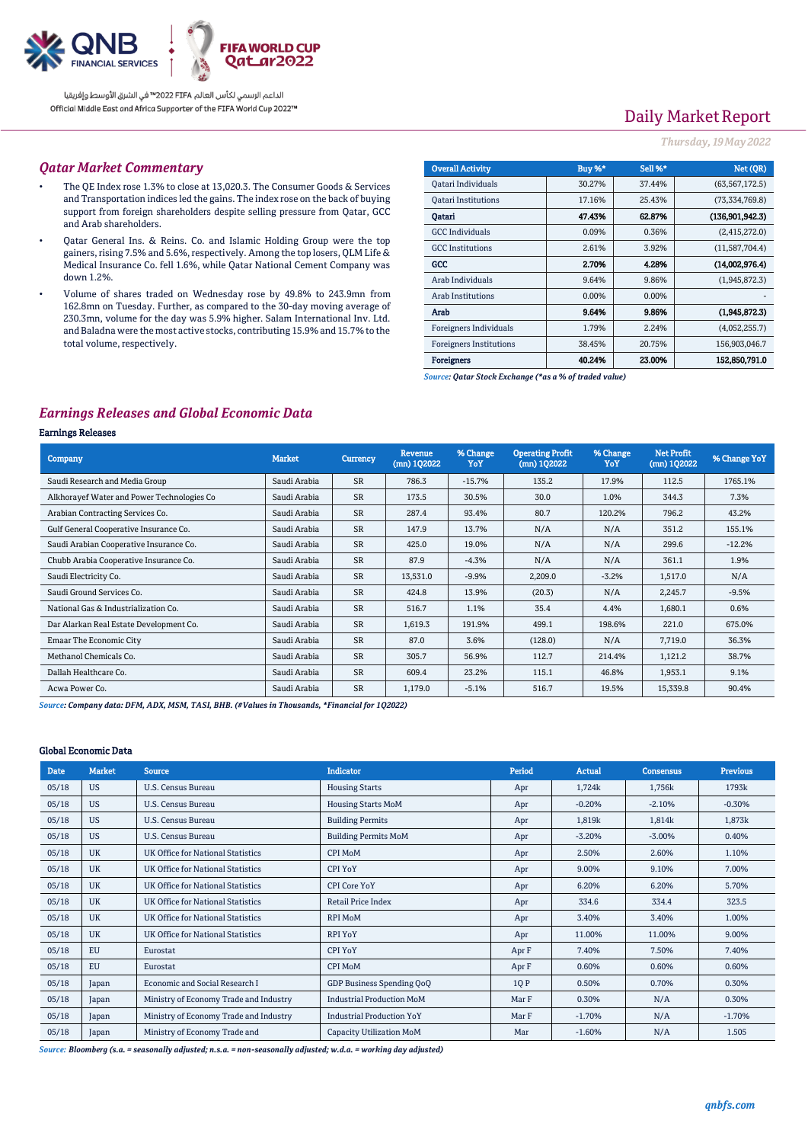

# Daily Market Report

#### *Thursday, 19May 2022*

#### *Qatar Market Commentary*

- The QE Index rose 1.3% to close at 13,020.3. The Consumer Goods & Services and Transportation indices led the gains. The index rose on the back of buying support from foreign shareholders despite selling pressure from Qatar, GCC and Arab shareholders.
- Qatar General Ins. & Reins. Co. and Islamic Holding Group were the top gainers, rising 7.5% and 5.6%, respectively. Among the top losers, QLM Life & Medical Insurance Co. fell 1.6%, while Qatar National Cement Company was down 1.2%.
- Volume of shares traded on Wednesday rose by 49.8% to 243.9mn from 162.8mn on Tuesday. Further, as compared to the 30-day moving average of 230.3mn, volume for the day was 5.9% higher. Salam International Inv. Ltd. and Baladna were the most active stocks, contributing 15.9% and 15.7% to the total volume, respectively.

| <b>Overall Activity</b>        | Buy %* | <b>Sell %*</b> | Net (QR)         |
|--------------------------------|--------|----------------|------------------|
| Qatari Individuals             | 30.27% | 37.44%         | (63, 567, 172.5) |
| <b>Oatari Institutions</b>     | 17.16% | 25.43%         | (73,334,769.8)   |
| Oatari                         | 47.43% | 62.87%         | (136.901.942.3)  |
| <b>GCC</b> Individuals         | 0.09%  | 0.36%          | (2,415,272.0)    |
| <b>GCC</b> Institutions        | 2.61%  | 3.92%          | (11,587,704.4)   |
| GCC                            | 2.70%  | 4.28%          | (14,002,976.4)   |
| Arab Individuals               | 9.64%  | 9.86%          | (1,945,872.3)    |
| <b>Arab Institutions</b>       | 0.00%  | 0.00%          |                  |
| Arab                           | 9.64%  | 9.86%          | (1,945,872.3)    |
| Foreigners Individuals         | 1.79%  | 2.24%          | (4,052,255.7)    |
| <b>Foreigners Institutions</b> | 38.45% | 20.75%         | 156,903,046.7    |
| <b>Foreigners</b>              | 40.24% | 23.00%         | 152,850,791.0    |

*Source: Qatar Stock Exchange (\*as a % of traded value)*

## *Earnings Releases and Global Economic Data*

#### Earnings Releases

| <b>Company</b>                             | <b>Market</b> | <b>Currency</b> | <b>Revenue</b><br>(mn) 102022 | % Change<br>YoY | <b>Operating Profit</b><br>$(mn)$ 102022 | % Change<br>YoY | <b>Net Profit</b><br>$(mn)$ 102022 | % Change YoY |
|--------------------------------------------|---------------|-----------------|-------------------------------|-----------------|------------------------------------------|-----------------|------------------------------------|--------------|
| Saudi Research and Media Group             | Saudi Arabia  | <b>SR</b>       | 786.3                         | $-15.7%$        | 135.2                                    | 17.9%           | 112.5                              | 1765.1%      |
| Alkhorayef Water and Power Technologies Co | Saudi Arabia  | <b>SR</b>       | 173.5                         | 30.5%           | 30.0                                     | 1.0%            | 344.3                              | 7.3%         |
| Arabian Contracting Services Co.           | Saudi Arabia  | <b>SR</b>       | 287.4                         | 93.4%           | 80.7                                     | 120.2%          | 796.2                              | 43.2%        |
| Gulf General Cooperative Insurance Co.     | Saudi Arabia  | <b>SR</b>       | 147.9                         | 13.7%           | N/A                                      | N/A             | 351.2                              | 155.1%       |
| Saudi Arabian Cooperative Insurance Co.    | Saudi Arabia  | <b>SR</b>       | 425.0                         | 19.0%           | N/A                                      | N/A             | 299.6                              | $-12.2%$     |
| Chubb Arabia Cooperative Insurance Co.     | Saudi Arabia  | <b>SR</b>       | 87.9                          | $-4.3%$         | N/A                                      | N/A             | 361.1                              | 1.9%         |
| Saudi Electricity Co.                      | Saudi Arabia  | <b>SR</b>       | 13,531.0                      | $-9.9%$         | 2,209.0                                  | $-3.2%$         | 1,517.0                            | N/A          |
| Saudi Ground Services Co.                  | Saudi Arabia  | <b>SR</b>       | 424.8                         | 13.9%           | (20.3)                                   | N/A             | 2,245.7                            | $-9.5%$      |
| National Gas & Industrialization Co.       | Saudi Arabia  | <b>SR</b>       | 516.7                         | 1.1%            | 35.4                                     | 4.4%            | 1,680.1                            | 0.6%         |
| Dar Alarkan Real Estate Development Co.    | Saudi Arabia  | <b>SR</b>       | 1,619.3                       | 191.9%          | 499.1                                    | 198.6%          | 221.0                              | 675.0%       |
| Emaar The Economic City                    | Saudi Arabia  | <b>SR</b>       | 87.0                          | 3.6%            | (128.0)                                  | N/A             | 7,719.0                            | 36.3%        |
| Methanol Chemicals Co.                     | Saudi Arabia  | <b>SR</b>       | 305.7                         | 56.9%           | 112.7                                    | 214.4%          | 1,121.2                            | 38.7%        |
| Dallah Healthcare Co.                      | Saudi Arabia  | <b>SR</b>       | 609.4                         | 23.2%           | 115.1                                    | 46.8%           | 1,953.1                            | 9.1%         |
| Acwa Power Co.                             | Saudi Arabia  | <b>SR</b>       | 1,179.0                       | $-5.1%$         | 516.7                                    | 19.5%           | 15,339.8                           | 90.4%        |

*Source: Company data: DFM, ADX, MSM, TASI, BHB. (#Values in Thousands, \*Financial for 1Q2022)*

#### Global Economic Data

| <b>Date</b> | <b>Market</b> | <b>Source</b>                          | Indicator                        | Period | <b>Actual</b> | <b>Consensus</b> | <b>Previous</b> |
|-------------|---------------|----------------------------------------|----------------------------------|--------|---------------|------------------|-----------------|
| 05/18       | <b>US</b>     | U.S. Census Bureau                     | <b>Housing Starts</b>            | Apr    | 1,724k        | 1,756k           | 1793k           |
| 05/18       | <b>US</b>     | U.S. Census Bureau                     | <b>Housing Starts MoM</b>        | Apr    | $-0.20%$      | $-2.10%$         | $-0.30%$        |
| 05/18       | <b>US</b>     | U.S. Census Bureau                     | <b>Building Permits</b>          | Apr    | 1,819k        | 1,814k           | 1,873k          |
| 05/18       | <b>US</b>     | U.S. Census Bureau                     | <b>Building Permits MoM</b>      | Apr    | $-3.20%$      | $-3.00%$         | 0.40%           |
| 05/18       | <b>UK</b>     | UK Office for National Statistics      | <b>CPI MoM</b>                   | Apr    | 2.50%         | 2.60%            | 1.10%           |
| 05/18       | <b>UK</b>     | UK Office for National Statistics      | <b>CPI YoY</b>                   | Apr    | 9.00%         | 9.10%            | 7.00%           |
| 05/18       | <b>UK</b>     | UK Office for National Statistics      | <b>CPI Core YoY</b>              | Apr    | 6.20%         | 6.20%            | 5.70%           |
| 05/18       | <b>UK</b>     | UK Office for National Statistics      | Retail Price Index               | Apr    | 334.6         | 334.4            | 323.5           |
| 05/18       | <b>UK</b>     | UK Office for National Statistics      | <b>RPI MoM</b>                   | Apr    | 3.40%         | 3.40%            | 1.00%           |
| 05/18       | <b>UK</b>     | UK Office for National Statistics      | <b>RPI YoY</b>                   | Apr    | 11.00%        | 11.00%           | 9.00%           |
| 05/18       | <b>EU</b>     | Eurostat                               | <b>CPI YoY</b>                   | Apr F  | 7.40%         | 7.50%            | 7.40%           |
| 05/18       | EU            | Eurostat                               | <b>CPI MoM</b>                   | Apr F  | 0.60%         | 0.60%            | 0.60%           |
| 05/18       | Japan         | <b>Economic and Social Research I</b>  | GDP Business Spending QoQ        | 1QP    | 0.50%         | 0.70%            | 0.30%           |
| 05/18       | Japan         | Ministry of Economy Trade and Industry | <b>Industrial Production MoM</b> | Mar F  | 0.30%         | N/A              | 0.30%           |
| 05/18       | Japan         | Ministry of Economy Trade and Industry | <b>Industrial Production YoY</b> | Mar F  | $-1.70%$      | N/A              | $-1.70%$        |
| 05/18       | Japan         | Ministry of Economy Trade and          | Capacity Utilization MoM         | Mar    | $-1.60%$      | N/A              | 1.505           |

*Source: Bloomberg (s.a. = seasonally adjusted; n.s.a. = non-seasonally adjusted; w.d.a. = working day adjusted)*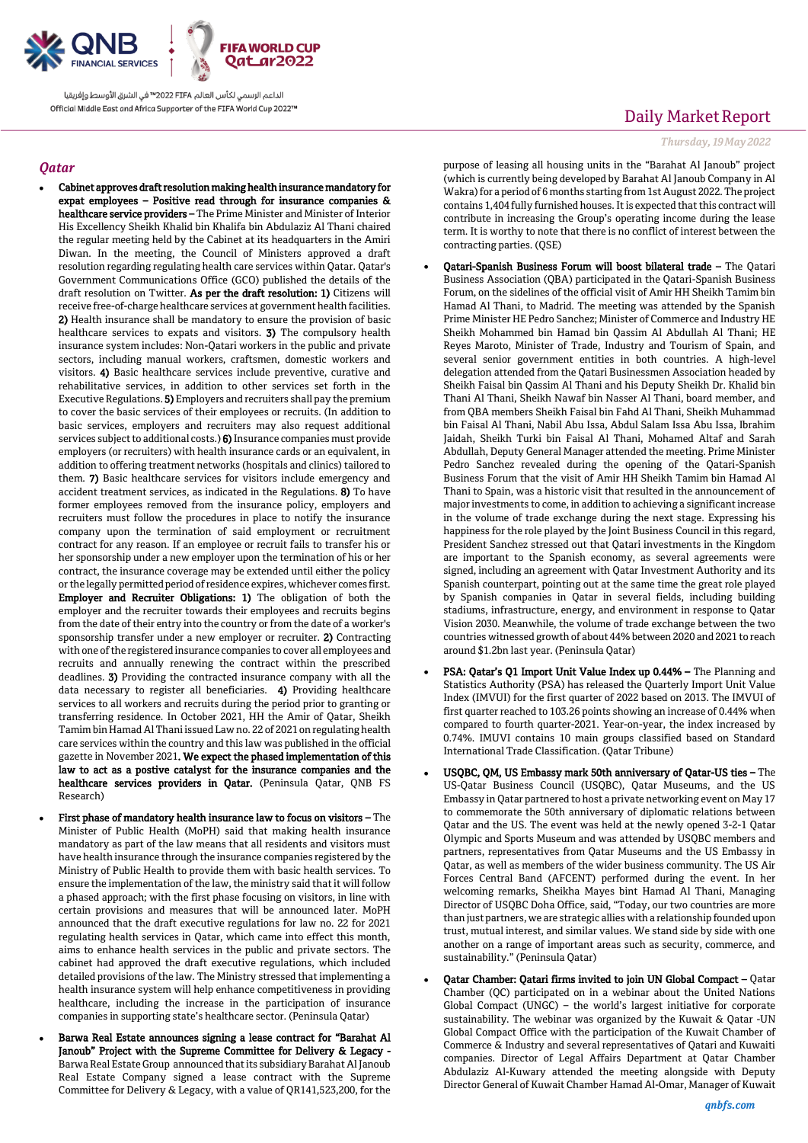

### *Qatar*

- Cabinet approves draft resolution making health insurance mandatory for expat employees – Positive read through for insurance companies & healthcare service providers – The Prime Minister and Minister of Interior His Excellency Sheikh Khalid bin Khalifa bin Abdulaziz Al Thani chaired the regular meeting held by the Cabinet at its headquarters in the Amiri Diwan. In the meeting, the Council of Ministers approved a draft resolution regarding regulating health care services within Qatar. Qatar's Government Communications Office (GCO) published the details of the draft resolution on Twitter. As per the draft resolution: 1) Citizens will receive free-of-charge healthcare services at government health facilities. 2) Health insurance shall be mandatory to ensure the provision of basic healthcare services to expats and visitors. 3) The compulsory health insurance system includes: Non-Qatari workers in the public and private sectors, including manual workers, craftsmen, domestic workers and visitors. 4) Basic healthcare services include preventive, curative and rehabilitative services, in addition to other services set forth in the Executive Regulations. 5) Employers and recruiters shall pay the premium to cover the basic services of their employees or recruits. (In addition to basic services, employers and recruiters may also request additional services subject to additional costs.) 6) Insurance companies must provide employers (or recruiters) with health insurance cards or an equivalent, in addition to offering treatment networks (hospitals and clinics) tailored to them. 7) Basic healthcare services for visitors include emergency and accident treatment services, as indicated in the Regulations. 8) To have former employees removed from the insurance policy, employers and recruiters must follow the procedures in place to notify the insurance company upon the termination of said employment or recruitment contract for any reason. If an employee or recruit fails to transfer his or her sponsorship under a new employer upon the termination of his or her contract, the insurance coverage may be extended until either the policy or the legally permitted period of residence expires, whichever comes first. Employer and Recruiter Obligations: 1) The obligation of both the employer and the recruiter towards their employees and recruits begins from the date of their entry into the country or from the date of a worker's sponsorship transfer under a new employer or recruiter. 2) Contracting with one of the registered insurance companies to cover all employees and recruits and annually renewing the contract within the prescribed deadlines. 3) Providing the contracted insurance company with all the data necessary to register all beneficiaries. 4) Providing healthcare services to all workers and recruits during the period prior to granting or transferring residence. In October 2021, HH the Amir of Qatar, Sheikh Tamim bin Hamad Al Thani issued Law no. 22 of 2021 on regulating health care services within the country and this law was published in the official gazette in November 2021. We expect the phased implementation of this law to act as a postive catalyst for the insurance companies and the healthcare services providers in Qatar. (Peninsula Qatar, QNB FS Research)
- First phase of mandatory health insurance law to focus on visitors The Minister of Public Health (MoPH) said that making health insurance mandatory as part of the law means that all residents and visitors must have health insurance through the insurance companies registered by the Ministry of Public Health to provide them with basic health services. To ensure the implementation of the law, the ministry said that it will follow a phased approach; with the first phase focusing on visitors, in line with certain provisions and measures that will be announced later. MoPH announced that the draft executive regulations for law no. 22 for 2021 regulating health services in Qatar, which came into effect this month, aims to enhance health services in the public and private sectors. The cabinet had approved the draft executive regulations, which included detailed provisions of the law. The Ministry stressed that implementing a health insurance system will help enhance competitiveness in providing healthcare, including the increase in the participation of insurance companies in supporting state's healthcare sector. (Peninsula Qatar)
- Barwa Real Estate announces signing a lease contract for "Barahat Al Janoub" Project with the Supreme Committee for Delivery & Legacy - Barwa Real Estate Group announced that its subsidiary Barahat Al Janoub Real Estate Company signed a lease contract with the Supreme Committee for Delivery & Legacy, with a value of QR141,523,200, for the

## Daily Market Report

*Thursday, 19May 2022*

purpose of leasing all housing units in the "Barahat Al Janoub" project (which is currently being developed by Barahat Al Janoub Company in Al Wakra) for a period of 6 months starting from 1st August 2022. The project contains 1,404 fully furnished houses. It is expected that this contract will contribute in increasing the Group's operating income during the lease term. It is worthy to note that there is no conflict of interest between the contracting parties. (QSE)

- Qatari-Spanish Business Forum will boost bilateral trade The Qatari Business Association (QBA) participated in the Qatari-Spanish Business Forum, on the sidelines of the official visit of Amir HH Sheikh Tamim bin Hamad Al Thani, to Madrid. The meeting was attended by the Spanish Prime Minister HE Pedro Sanchez; Minister of Commerce and Industry HE Sheikh Mohammed bin Hamad bin Qassim Al Abdullah Al Thani; HE Reyes Maroto, Minister of Trade, Industry and Tourism of Spain, and several senior government entities in both countries. A high-level delegation attended from the Qatari Businessmen Association headed by Sheikh Faisal bin Qassim Al Thani and his Deputy Sheikh Dr. Khalid bin Thani Al Thani, Sheikh Nawaf bin Nasser Al Thani, board member, and from QBA members Sheikh Faisal bin Fahd Al Thani, Sheikh Muhammad bin Faisal Al Thani, Nabil Abu Issa, Abdul Salam Issa Abu Issa, Ibrahim Jaidah, Sheikh Turki bin Faisal Al Thani, Mohamed Altaf and Sarah Abdullah, Deputy General Manager attended the meeting. Prime Minister Pedro Sanchez revealed during the opening of the Qatari-Spanish Business Forum that the visit of Amir HH Sheikh Tamim bin Hamad Al Thani to Spain, was a historic visit that resulted in the announcement of major investments to come, in addition to achieving a significant increase in the volume of trade exchange during the next stage. Expressing his happiness for the role played by the Joint Business Council in this regard, President Sanchez stressed out that Qatari investments in the Kingdom are important to the Spanish economy, as several agreements were signed, including an agreement with Qatar Investment Authority and its Spanish counterpart, pointing out at the same time the great role played by Spanish companies in Qatar in several fields, including building stadiums, infrastructure, energy, and environment in response to Qatar Vision 2030. Meanwhile, the volume of trade exchange between the two countries witnessed growth of about 44% between 2020 and 2021 to reach around \$1.2bn last year. (Peninsula Qatar)
- PSA: Qatar's Q1 Import Unit Value Index up 0.44% The Planning and Statistics Authority (PSA) has released the Quarterly Import Unit Value Index (IMVUI) for the first quarter of 2022 based on 2013. The IMVUI of first quarter reached to 103.26 points showing an increase of 0.44% when compared to fourth quarter-2021. Year-on-year, the index increased by 0.74%. IMUVI contains 10 main groups classified based on Standard International Trade Classification. (Qatar Tribune)
- USQBC, QM, US Embassy mark 50th anniversary of Qatar-US ties The US-Qatar Business Council (USQBC), Qatar Museums, and the US Embassy in Qatar partnered to host a private networking event on May 17 to commemorate the 50th anniversary of diplomatic relations between Qatar and the US. The event was held at the newly opened 3-2-1 Qatar Olympic and Sports Museum and was attended by USQBC members and partners, representatives from Qatar Museums and the US Embassy in Qatar, as well as members of the wider business community. The US Air Forces Central Band (AFCENT) performed during the event. In her welcoming remarks, Sheikha Mayes bint Hamad Al Thani, Managing Director of USQBC Doha Office, said, "Today, our two countries are more than just partners, we are strategic allies with a relationship founded upon trust, mutual interest, and similar values. We stand side by side with one another on a range of important areas such as security, commerce, and sustainability." (Peninsula Qatar)
- Qatar Chamber: Qatari firms invited to join UN Global Compact Qatar Chamber (QC) participated on in a webinar about the United Nations Global Compact (UNGC) – the world's largest initiative for corporate sustainability. The webinar was organized by the Kuwait & Qatar -UN Global Compact Office with the participation of the Kuwait Chamber of Commerce & Industry and several representatives of Qatari and Kuwaiti companies. Director of Legal Affairs Department at Qatar Chamber Abdulaziz Al-Kuwary attended the meeting alongside with Deputy Director General of Kuwait Chamber Hamad Al-Omar, Manager of Kuwait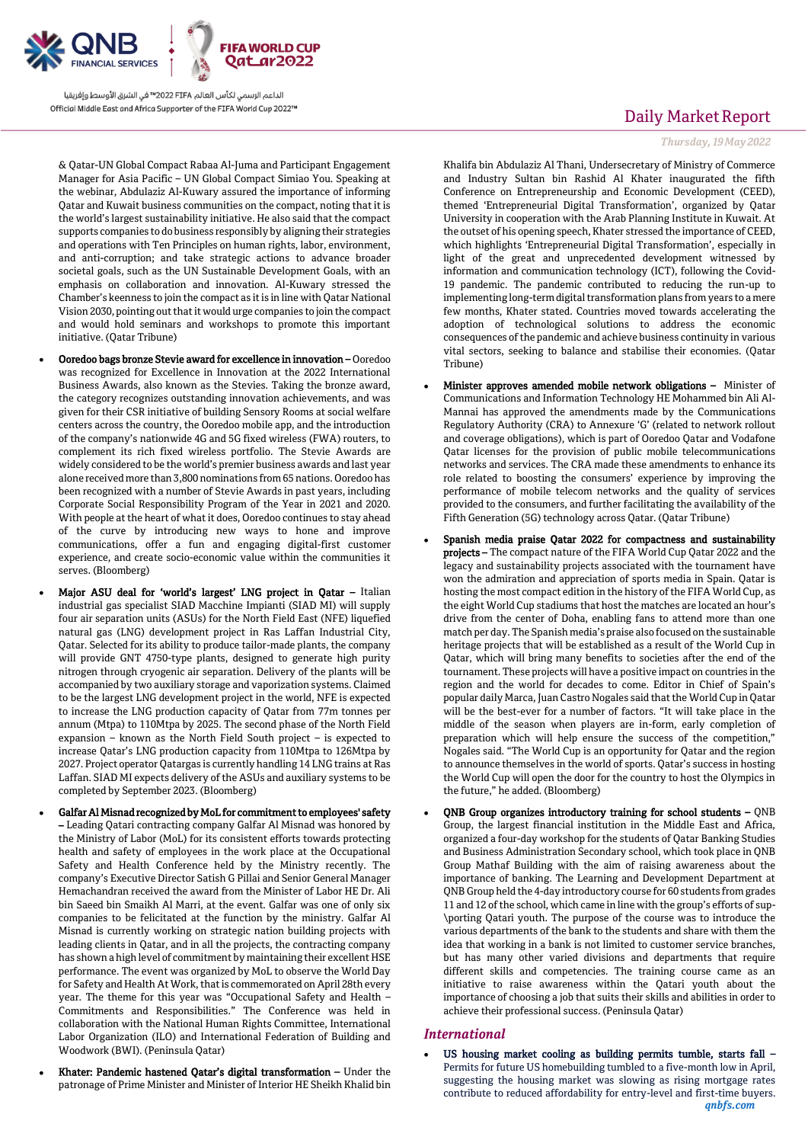

& Qatar-UN Global Compact Rabaa Al-Juma and Participant Engagement Manager for Asia Pacific – UN Global Compact Simiao You. Speaking at the webinar, Abdulaziz Al-Kuwary assured the importance of informing Qatar and Kuwait business communities on the compact, noting that it is the world's largest sustainability initiative. He also said that the compact supports companies to do business responsibly by aligning their strategies and operations with Ten Principles on human rights, labor, environment, and anti-corruption; and take strategic actions to advance broader societal goals, such as the UN Sustainable Development Goals, with an emphasis on collaboration and innovation. Al-Kuwary stressed the Chamber's keenness to join the compact as it is in line with Qatar National Vision 2030, pointing out that it would urge companies to join the compact and would hold seminars and workshops to promote this important initiative. (Qatar Tribune)

- Ooredoo bags bronze Stevie award for excellence in innovation Ooredoo was recognized for Excellence in Innovation at the 2022 International Business Awards, also known as the Stevies. Taking the bronze award, the category recognizes outstanding innovation achievements, and was given for their CSR initiative of building Sensory Rooms at social welfare centers across the country, the Ooredoo mobile app, and the introduction of the company's nationwide 4G and 5G fixed wireless (FWA) routers, to complement its rich fixed wireless portfolio. The Stevie Awards are widely considered to be the world's premier business awards and last year alone received more than 3,800 nominations from 65 nations. Ooredoo has been recognized with a number of Stevie Awards in past years, including Corporate Social Responsibility Program of the Year in 2021 and 2020. With people at the heart of what it does, Ooredoo continues to stay ahead of the curve by introducing new ways to hone and improve communications, offer a fun and engaging digital-first customer experience, and create socio-economic value within the communities it serves. (Bloomberg)
- Major ASU deal for 'world's largest' LNG project in Qatar Italian industrial gas specialist SIAD Macchine Impianti (SIAD MI) will supply four air separation units (ASUs) for the North Field East (NFE) liquefied natural gas (LNG) development project in Ras Laffan Industrial City, Qatar. Selected for its ability to produce tailor-made plants, the company will provide GNT 4750-type plants, designed to generate high purity nitrogen through cryogenic air separation. Delivery of the plants will be accompanied by two auxiliary storage and vaporization systems. Claimed to be the largest LNG development project in the world, NFE is expected to increase the LNG production capacity of Qatar from 77m tonnes per annum (Mtpa) to 110Mtpa by 2025. The second phase of the North Field expansion – known as the North Field South project – is expected to increase Qatar's LNG production capacity from 110Mtpa to 126Mtpa by 2027. Project operator Qatargas is currently handling 14 LNG trains at Ras Laffan. SIAD MI expects delivery of the ASUs and auxiliary systems to be completed by September 2023. (Bloomberg)
- Galfar Al Misnad recognized by MoL for commitment to employees' safety – Leading Qatari contracting company Galfar Al Misnad was honored by the Ministry of Labor (MoL) for its consistent efforts towards protecting health and safety of employees in the work place at the Occupational Safety and Health Conference held by the Ministry recently. The company's Executive Director Satish G Pillai and Senior General Manager Hemachandran received the award from the Minister of Labor HE Dr. Ali bin Saeed bin Smaikh Al Marri, at the event. Galfar was one of only six companies to be felicitated at the function by the ministry. Galfar Al Misnad is currently working on strategic nation building projects with leading clients in Qatar, and in all the projects, the contracting company has shown a high level of commitment by maintaining their excellent HSE performance. The event was organized by MoL to observe the World Day for Safety and Health At Work, that is commemorated on April 28th every year. The theme for this year was "Occupational Safety and Health – Commitments and Responsibilities." The Conference was held in collaboration with the National Human Rights Committee, International Labor Organization (ILO) and International Federation of Building and Woodwork (BWI). (Peninsula Qatar)
- Khater: Pandemic hastened Qatar's digital transformation Under the patronage of Prime Minister and Minister of Interior HE Sheikh Khalid bin

## Daily Market Report

#### *Thursday, 19May 2022*

Khalifa bin Abdulaziz Al Thani, Undersecretary of Ministry of Commerce and Industry Sultan bin Rashid Al Khater inaugurated the fifth Conference on Entrepreneurship and Economic Development (CEED), themed 'Entrepreneurial Digital Transformation', organized by Qatar University in cooperation with the Arab Planning Institute in Kuwait. At the outset of his opening speech, Khater stressed the importance of CEED, which highlights 'Entrepreneurial Digital Transformation', especially in light of the great and unprecedented development witnessed by information and communication technology (ICT), following the Covid-19 pandemic. The pandemic contributed to reducing the run-up to implementing long-term digital transformation plans from years to a mere few months, Khater stated. Countries moved towards accelerating the adoption of technological solutions to address the economic consequences of the pandemic and achieve business continuity in various vital sectors, seeking to balance and stabilise their economies. (Qatar Tribune)

- Minister approves amended mobile network obligations Minister of Communications and Information Technology HE Mohammed bin Ali Al-Mannai has approved the amendments made by the Communications Regulatory Authority (CRA) to Annexure 'G' (related to network rollout and coverage obligations), which is part of Ooredoo Qatar and Vodafone Qatar licenses for the provision of public mobile telecommunications networks and services. The CRA made these amendments to enhance its role related to boosting the consumers' experience by improving the performance of mobile telecom networks and the quality of services provided to the consumers, and further facilitating the availability of the Fifth Generation (5G) technology across Qatar. (Qatar Tribune)
- Spanish media praise Qatar 2022 for compactness and sustainability projects – The compact nature of the FIFA World Cup Qatar 2022 and the legacy and sustainability projects associated with the tournament have won the admiration and appreciation of sports media in Spain. Qatar is hosting the most compact edition in the history of the FIFA World Cup, as the eight World Cup stadiums that host the matches are located an hour's drive from the center of Doha, enabling fans to attend more than one match per day. The Spanish media's praise also focused on the sustainable heritage projects that will be established as a result of the World Cup in Qatar, which will bring many benefits to societies after the end of the tournament. These projects will have a positive impact on countries in the region and the world for decades to come. Editor in Chief of Spain's popular daily Marca, Juan Castro Nogales said that the World Cup in Qatar will be the best-ever for a number of factors. "It will take place in the middle of the season when players are in-form, early completion of preparation which will help ensure the success of the competition," Nogales said. "The World Cup is an opportunity for Qatar and the region to announce themselves in the world of sports. Qatar's success in hosting the World Cup will open the door for the country to host the Olympics in the future," he added. (Bloomberg)
- QNB Group organizes introductory training for school students QNB Group, the largest financial institution in the Middle East and Africa, organized a four-day workshop for the students of Qatar Banking Studies and Business Administration Secondary school, which took place in QNB Group Mathaf Building with the aim of raising awareness about the importance of banking. The Learning and Development Department at QNB Group held the 4-day introductory course for 60 students from grades 11 and 12 of the school, which came in line with the group's efforts of sup- \porting Qatari youth. The purpose of the course was to introduce the various departments of the bank to the students and share with them the idea that working in a bank is not limited to customer service branches, but has many other varied divisions and departments that require different skills and competencies. The training course came as an initiative to raise awareness within the Qatari youth about the importance of choosing a job that suits their skills and abilities in order to achieve their professional success. (Peninsula Qatar)

#### *International*

*qnbfs.com* US housing market cooling as building permits tumble, starts fall – Permits for future US homebuilding tumbled to a five-month low in April, suggesting the housing market was slowing as rising mortgage rates contribute to reduced affordability for entry-level and first-time buyers.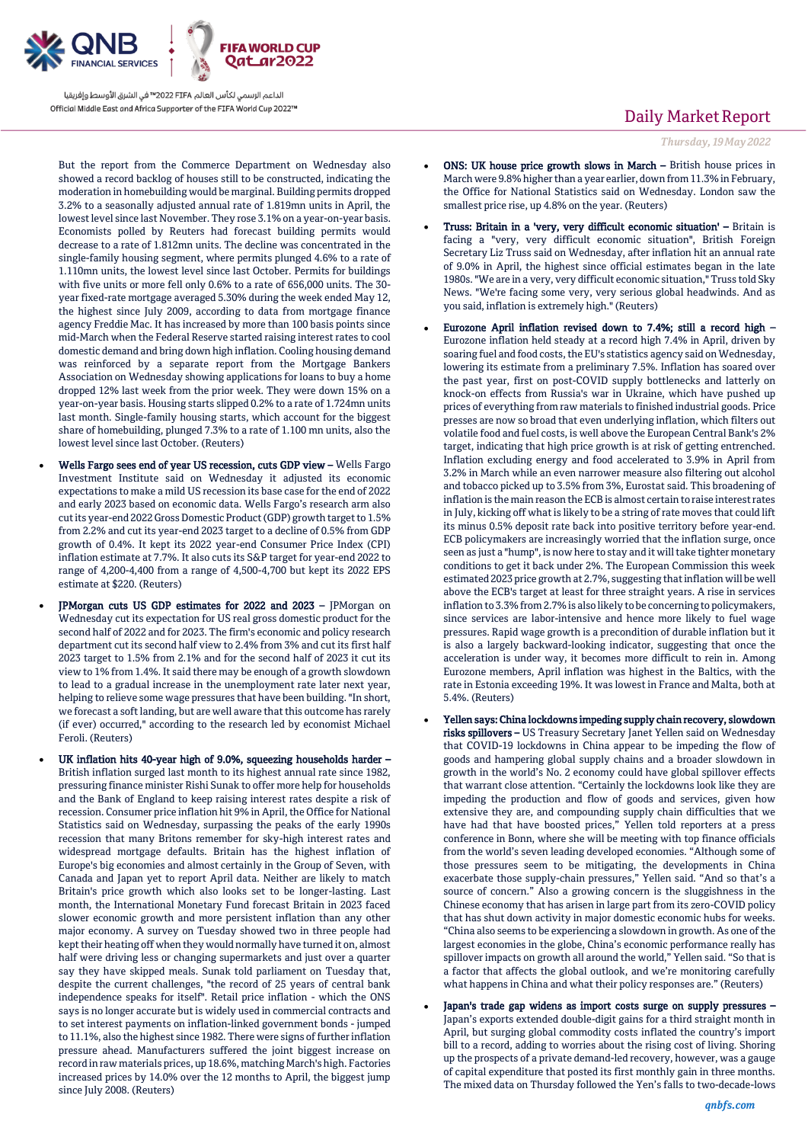

But the report from the Commerce Department on Wednesday also showed a record backlog of houses still to be constructed, indicating the moderation in homebuilding would be marginal. Building permits dropped 3.2% to a seasonally adjusted annual rate of 1.819mn units in April, the lowest level since last November. They rose 3.1% on a year-on-year basis. Economists polled by Reuters had forecast building permits would decrease to a rate of 1.812mn units. The decline was concentrated in the single-family housing segment, where permits plunged 4.6% to a rate of 1.110mn units, the lowest level since last October. Permits for buildings with five units or more fell only 0.6% to a rate of 656,000 units. The 30 year fixed-rate mortgage averaged 5.30% during the week ended May 12, the highest since July 2009, according to data from mortgage finance agency Freddie Mac. It has increased by more than 100 basis points since mid-March when the Federal Reserve started raising interest rates to cool domestic demand and bring down high inflation. Cooling housing demand was reinforced by a separate report from the Mortgage Bankers Association on Wednesday showing applications for loans to buy a home dropped 12% last week from the prior week. They were down 15% on a year-on-year basis. Housing starts slipped 0.2% to a rate of 1.724mn units last month. Single-family housing starts, which account for the biggest share of homebuilding, plunged 7.3% to a rate of 1.100 mn units, also the lowest level since last October. (Reuters)

- Wells Fargo sees end of year US recession, cuts GDP view Wells Fargo Investment Institute said on Wednesday it adjusted its economic expectations to make a mild US recession its base case for the end of 2022 and early 2023 based on economic data. Wells Fargo's research arm also cut its year-end 2022Gross Domestic Product (GDP) growth target to 1.5% from 2.2% and cut its year-end 2023 target to a decline of 0.5% from GDP growth of 0.4%. It kept its 2022 year-end Consumer Price Index (CPI) inflation estimate at 7.7%. It also cuts its S&P target for year-end 2022 to range of 4,200-4,400 from a range of 4,500-4,700 but kept its 2022 EPS estimate at \$220. (Reuters)
- JPMorgan cuts US GDP estimates for 2022 and 2023 JPMorgan on Wednesday cut its expectation for US real gross domestic product for the second half of 2022 and for 2023. The firm's economic and policy research department cut its second half view to 2.4% from 3% and cut its first half 2023 target to 1.5% from 2.1% and for the second half of 2023 it cut its view to 1% from 1.4%. It said there may be enough of a growth slowdown to lead to a gradual increase in the unemployment rate later next year, helping to relieve some wage pressures that have been building. "In short, we forecast a soft landing, but are well aware that this outcome has rarely (if ever) occurred," according to the research led by economist Michael Feroli. (Reuters)
- UK inflation hits 40-year high of 9.0%, squeezing households harder British inflation surged last month to its highest annual rate since 1982, pressuring finance minister Rishi Sunak to offer more help for households and the Bank of England to keep raising interest rates despite a risk of recession. Consumer price inflation hit 9% in April, the Office for National Statistics said on Wednesday, surpassing the peaks of the early 1990s recession that many Britons remember for sky-high interest rates and widespread mortgage defaults. Britain has the highest inflation of Europe's big economies and almost certainly in the Group of Seven, with Canada and Japan yet to report April data. Neither are likely to match Britain's price growth which also looks set to be longer-lasting. Last month, the International Monetary Fund forecast Britain in 2023 faced slower economic growth and more persistent inflation than any other major economy. A survey on Tuesday showed two in three people had kept their heating off when they would normally have turned it on, almost half were driving less or changing supermarkets and just over a quarter say they have skipped meals. Sunak told parliament on Tuesday that, despite the current challenges, "the record of 25 years of central bank independence speaks for itself". Retail price inflation - which the ONS says is no longer accurate but is widely used in commercial contracts and to set interest payments on inflation-linked government bonds - jumped to 11.1%, also the highest since 1982. There were signs of further inflation pressure ahead. Manufacturers suffered the joint biggest increase on record in raw materials prices, up 18.6%, matching March's high. Factories increased prices by 14.0% over the 12 months to April, the biggest jump since July 2008. (Reuters)

## Daily Market Report

*Thursday, 19May 2022*

- ONS: UK house price growth slows in March British house prices in March were 9.8% higher than a year earlier, down from 11.3% in February, the Office for National Statistics said on Wednesday. London saw the smallest price rise, up 4.8% on the year. (Reuters)
- Truss: Britain in a 'very, very difficult economic situation' Britain is facing a "very, very difficult economic situation", British Foreign Secretary Liz Truss said on Wednesday, after inflation hit an annual rate of 9.0% in April, the highest since official estimates began in the late 1980s. "We are in a very, very difficult economic situation," Truss told Sky News. "We're facing some very, very serious global headwinds. And as you said, inflation is extremely high." (Reuters)
- Eurozone April inflation revised down to 7.4%; still a record high Eurozone inflation held steady at a record high 7.4% in April, driven by soaring fuel and food costs, the EU's statistics agency said on Wednesday, lowering its estimate from a preliminary 7.5%. Inflation has soared over the past year, first on post-COVID supply bottlenecks and latterly on knock-on effects from Russia's war in Ukraine, which have pushed up prices of everything from raw materials to finished industrial goods. Price presses are now so broad that even underlying inflation, which filters out volatile food and fuel costs, is well above the European Central Bank's 2% target, indicating that high price growth is at risk of getting entrenched. Inflation excluding energy and food accelerated to 3.9% in April from 3.2% in March while an even narrower measure also filtering out alcohol and tobacco picked up to 3.5% from 3%, Eurostat said. This broadening of inflation is the main reason the ECB is almost certain to raise interest rates in July, kicking off what is likely to be a string of rate moves that could lift its minus 0.5% deposit rate back into positive territory before year-end. ECB policymakers are increasingly worried that the inflation surge, once seen as just a "hump", is now here to stay and it will take tighter monetary conditions to get it back under 2%. The European Commission this week estimated 2023 price growth at 2.7%, suggesting that inflation will be well above the ECB's target at least for three straight years. A rise in services inflation to 3.3% from 2.7% is also likely to be concerning to policymakers, since services are labor-intensive and hence more likely to fuel wage pressures. Rapid wage growth is a precondition of durable inflation but it is also a largely backward-looking indicator, suggesting that once the acceleration is under way, it becomes more difficult to rein in. Among Eurozone members, April inflation was highest in the Baltics, with the rate in Estonia exceeding 19%. It was lowest in France and Malta, both at 5.4%. (Reuters)
- Yellen says: China lockdowns impeding supply chain recovery, slowdown risks spillovers – US Treasury Secretary Janet Yellen said on Wednesday that COVID-19 lockdowns in China appear to be impeding the flow of goods and hampering global supply chains and a broader slowdown in growth in the world's No. 2 economy could have global spillover effects that warrant close attention. "Certainly the lockdowns look like they are impeding the production and flow of goods and services, given how extensive they are, and compounding supply chain difficulties that we have had that have boosted prices," Yellen told reporters at a press conference in Bonn, where she will be meeting with top finance officials from the world's seven leading developed economies. "Although some of those pressures seem to be mitigating, the developments in China exacerbate those supply-chain pressures," Yellen said. "And so that's a source of concern." Also a growing concern is the sluggishness in the Chinese economy that has arisen in large part from its zero-COVID policy that has shut down activity in major domestic economic hubs for weeks. "China also seems to be experiencing a slowdown in growth. As one of the largest economies in the globe, China's economic performance really has spillover impacts on growth all around the world," Yellen said. "So that is a factor that affects the global outlook, and we're monitoring carefully what happens in China and what their policy responses are." (Reuters)
- Japan's trade gap widens as import costs surge on supply pressures Japan's exports extended double-digit gains for a third straight month in April, but surging global commodity costs inflated the country's import bill to a record, adding to worries about the rising cost of living. Shoring up the prospects of a private demand-led recovery, however, was a gauge of capital expenditure that posted its first monthly gain in three months. The mixed data on Thursday followed the Yen's falls to two-decade-lows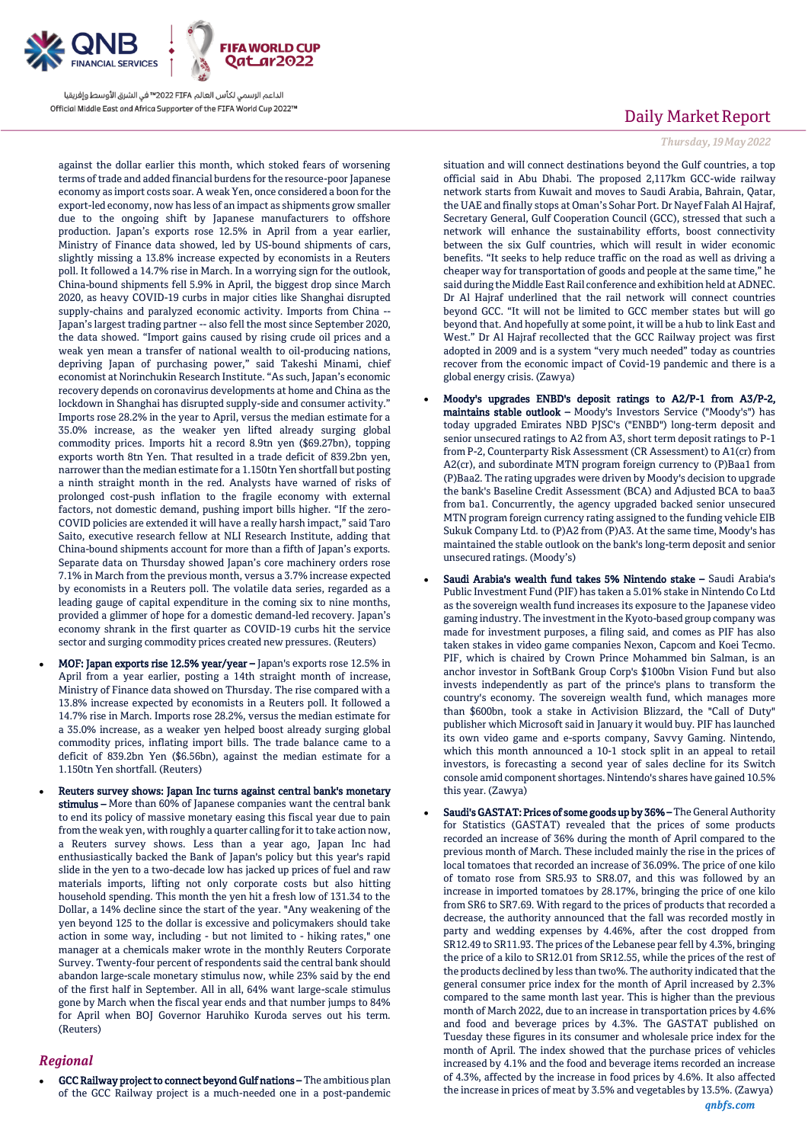

against the dollar earlier this month, which stoked fears of worsening terms of trade and added financial burdens for the resource-poor Japanese economy as import costs soar. A weak Yen, once considered a boon for the export-led economy, now has less of an impact as shipments grow smaller due to the ongoing shift by Japanese manufacturers to offshore production. Japan's exports rose 12.5% in April from a year earlier, Ministry of Finance data showed, led by US-bound shipments of cars, slightly missing a 13.8% increase expected by economists in a Reuters poll. It followed a 14.7% rise in March. In a worrying sign for the outlook, China-bound shipments fell 5.9% in April, the biggest drop since March 2020, as heavy COVID-19 curbs in major cities like Shanghai disrupted supply-chains and paralyzed economic activity. Imports from China -- Japan's largest trading partner -- also fell the most since September 2020, the data showed. "Import gains caused by rising crude oil prices and a weak yen mean a transfer of national wealth to oil-producing nations, depriving Japan of purchasing power," said Takeshi Minami, chief economist at Norinchukin Research Institute. "As such, Japan's economic recovery depends on coronavirus developments at home and China as the lockdown in Shanghai has disrupted supply-side and consumer activity." Imports rose 28.2% in the year to April, versus the median estimate for a 35.0% increase, as the weaker yen lifted already surging global commodity prices. Imports hit a record 8.9tn yen (\$69.27bn), topping exports worth 8tn Yen. That resulted in a trade deficit of 839.2bn yen, narrower than the median estimate for a 1.150tn Yen shortfall but posting a ninth straight month in the red. Analysts have warned of risks of prolonged cost-push inflation to the fragile economy with external factors, not domestic demand, pushing import bills higher. "If the zero-COVID policies are extended it will have a really harsh impact," said Taro Saito, executive research fellow at NLI Research Institute, adding that China-bound shipments account for more than a fifth of Japan's exports. Separate data on Thursday showed Japan's core machinery orders rose 7.1% in March from the previous month, versus a 3.7% increase expected by economists in a Reuters poll. The volatile data series, regarded as a leading gauge of capital expenditure in the coming six to nine months, provided a glimmer of hope for a domestic demand-led recovery. Japan's economy shrank in the first quarter as COVID-19 curbs hit the service sector and surging commodity prices created new pressures. (Reuters)

- MOF: Japan exports rise 12.5% year/year Japan's exports rose 12.5% in April from a year earlier, posting a 14th straight month of increase, Ministry of Finance data showed on Thursday. The rise compared with a 13.8% increase expected by economists in a Reuters poll. It followed a 14.7% rise in March. Imports rose 28.2%, versus the median estimate for a 35.0% increase, as a weaker yen helped boost already surging global commodity prices, inflating import bills. The trade balance came to a deficit of 839.2bn Yen (\$6.56bn), against the median estimate for a 1.150tn Yen shortfall. (Reuters)
- Reuters survey shows: Japan Inc turns against central bank's monetary stimulus - More than 60% of Japanese companies want the central bank to end its policy of massive monetary easing this fiscal year due to pain from the weak yen, with roughly a quarter calling for it to take action now, a Reuters survey shows. Less than a year ago, Japan Inc had enthusiastically backed the Bank of Japan's policy but this year's rapid slide in the yen to a two-decade low has jacked up prices of fuel and raw materials imports, lifting not only corporate costs but also hitting household spending. This month the yen hit a fresh low of 131.34 to the Dollar, a 14% decline since the start of the year. "Any weakening of the yen beyond 125 to the dollar is excessive and policymakers should take action in some way, including - but not limited to - hiking rates," one manager at a chemicals maker wrote in the monthly Reuters Corporate Survey. Twenty-four percent of respondents said the central bank should abandon large-scale monetary stimulus now, while 23% said by the end of the first half in September. All in all, 64% want large-scale stimulus gone by March when the fiscal year ends and that number jumps to 84% for April when BOJ Governor Haruhiko Kuroda serves out his term. (Reuters)

### *Regional*

 GCC Railway project to connect beyond Gulf nations – The ambitious plan of the GCC Railway project is a much-needed one in a post-pandemic

## Daily Market Report

#### *Thursday, 19May 2022*

situation and will connect destinations beyond the Gulf countries, a top official said in Abu Dhabi. The proposed 2,117km GCC-wide railway network starts from Kuwait and moves to Saudi Arabia, Bahrain, Qatar, the UAE and finally stops at Oman's Sohar Port. Dr Nayef Falah Al Hajraf, Secretary General, Gulf Cooperation Council (GCC), stressed that such a network will enhance the sustainability efforts, boost connectivity between the six Gulf countries, which will result in wider economic benefits. "It seeks to help reduce traffic on the road as well as driving a cheaper way for transportation of goods and people at the same time," he said during the Middle East Rail conference and exhibition held at ADNEC. Dr Al Hajraf underlined that the rail network will connect countries beyond GCC. "It will not be limited to GCC member states but will go beyond that. And hopefully at some point, it will be a hub to link East and West." Dr Al Hajraf recollected that the GCC Railway project was first adopted in 2009 and is a system "very much needed" today as countries recover from the economic impact of Covid-19 pandemic and there is a global energy crisis. (Zawya)

- Moody's upgrades ENBD's deposit ratings to A2/P-1 from A3/P-2, maintains stable outlook – Moody's Investors Service ("Moody's") has today upgraded Emirates NBD PJSC's ("ENBD") long-term deposit and senior unsecured ratings to A2 from A3, short term deposit ratings to P-1 from P-2, Counterparty Risk Assessment (CR Assessment) to A1(cr) from A2(cr), and subordinate MTN program foreign currency to (P)Baa1 from (P)Baa2. The rating upgrades were driven by Moody's decision to upgrade the bank's Baseline Credit Assessment (BCA) and Adjusted BCA to baa3 from ba1. Concurrently, the agency upgraded backed senior unsecured MTN program foreign currency rating assigned to the funding vehicle EIB Sukuk Company Ltd. to (P)A2 from (P)A3. At the same time, Moody's has maintained the stable outlook on the bank's long-term deposit and senior unsecured ratings. (Moody's)
- Saudi Arabia's wealth fund takes 5% Nintendo stake Saudi Arabia's Public Investment Fund (PIF) has taken a 5.01% stake in Nintendo Co Ltd as the sovereign wealth fund increases its exposure to the Japanese video gaming industry. The investment in the Kyoto-based group company was made for investment purposes, a filing said, and comes as PIF has also taken stakes in video game companies Nexon, Capcom and Koei Tecmo. PIF, which is chaired by Crown Prince Mohammed bin Salman, is an anchor investor in SoftBank Group Corp's \$100bn Vision Fund but also invests independently as part of the prince's plans to transform the country's economy. The sovereign wealth fund, which manages more than \$600bn, took a stake in Activision Blizzard, the "Call of Duty" publisher which Microsoft said in January it would buy. PIF has launched its own video game and e-sports company, Savvy Gaming. Nintendo, which this month announced a 10-1 stock split in an appeal to retail investors, is forecasting a second year of sales decline for its Switch console amid component shortages. Nintendo's shares have gained 10.5% this year. (Zawya)
- Saudi's GASTAT: Prices of some goods up by 36% The General Authority for Statistics (GASTAT) revealed that the prices of some products recorded an increase of 36% during the month of April compared to the previous month of March. These included mainly the rise in the prices of local tomatoes that recorded an increase of 36.09%. The price of one kilo of tomato rose from SR5.93 to SR8.07, and this was followed by an increase in imported tomatoes by 28.17%, bringing the price of one kilo from SR6 to SR7.69. With regard to the prices of products that recorded a decrease, the authority announced that the fall was recorded mostly in party and wedding expenses by 4.46%, after the cost dropped from SR12.49 to SR11.93. The prices of the Lebanese pear fell by 4.3%, bringing the price of a kilo to SR12.01 from SR12.55, while the prices of the rest of the products declined by less than two%. The authority indicated that the general consumer price index for the month of April increased by 2.3% compared to the same month last year. This is higher than the previous month of March 2022, due to an increase in transportation prices by 4.6% and food and beverage prices by 4.3%. The GASTAT published on Tuesday these figures in its consumer and wholesale price index for the month of April. The index showed that the purchase prices of vehicles increased by 4.1% and the food and beverage items recorded an increase of 4.3%, affected by the increase in food prices by 4.6%. It also affected the increase in prices of meat by 3.5% and vegetables by 13.5%. (Zawya)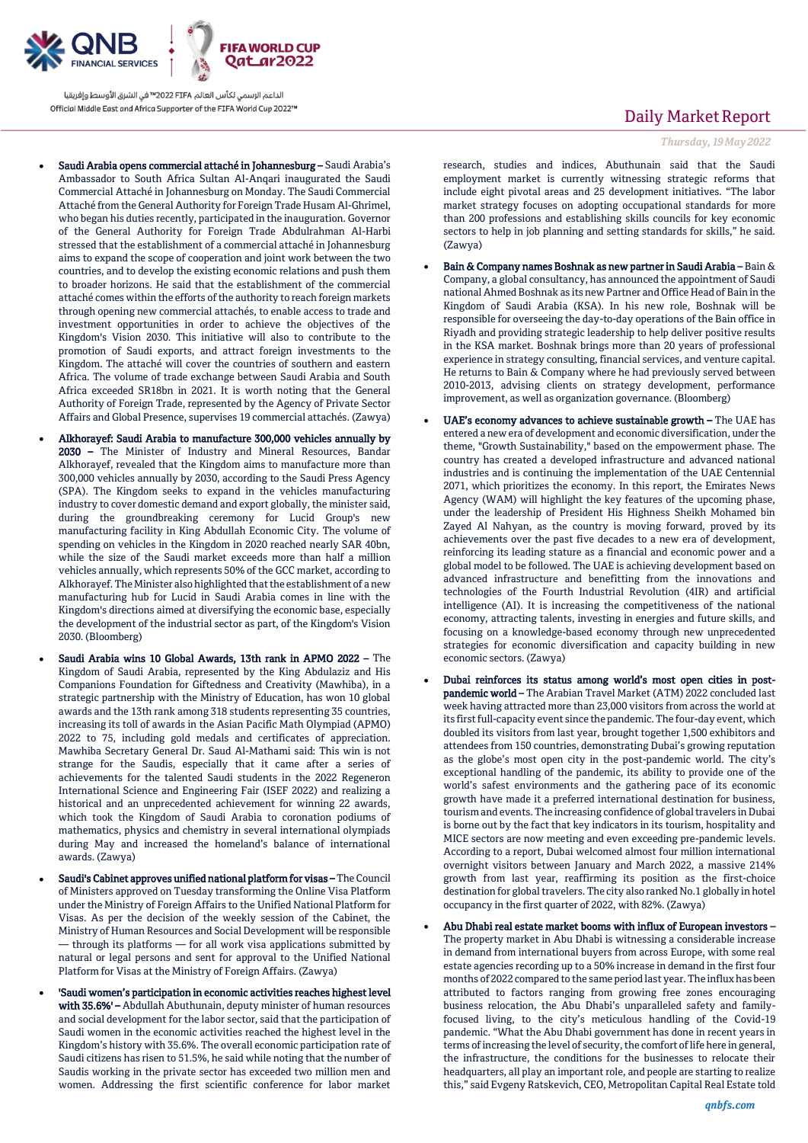

- Saudi Arabia opens commercial attaché in Johannesburg Saudi Arabia's Ambassador to South Africa Sultan Al-Anqari inaugurated the Saudi Commercial Attaché in Johannesburg on Monday. The Saudi Commercial Attaché from the General Authority for Foreign Trade Husam Al-Ghrimel, who began his duties recently, participated in the inauguration. Governor of the General Authority for Foreign Trade Abdulrahman Al-Harbi stressed that the establishment of a commercial attaché in Johannesburg aims to expand the scope of cooperation and joint work between the two countries, and to develop the existing economic relations and push them to broader horizons. He said that the establishment of the commercial attaché comes within the efforts of the authority to reach foreign markets through opening new commercial attachés, to enable access to trade and investment opportunities in order to achieve the objectives of the Kingdom's Vision 2030. This initiative will also to contribute to the promotion of Saudi exports, and attract foreign investments to the Kingdom. The attaché will cover the countries of southern and eastern Africa. The volume of trade exchange between Saudi Arabia and South Africa exceeded SR18bn in 2021. It is worth noting that the General Authority of Foreign Trade, represented by the Agency of Private Sector Affairs and Global Presence, supervises 19 commercial attachés. (Zawya)
- Alkhorayef: Saudi Arabia to manufacture 300,000 vehicles annually by 2030 – The Minister of Industry and Mineral Resources, Bandar Alkhorayef, revealed that the Kingdom aims to manufacture more than 300,000 vehicles annually by 2030, according to the Saudi Press Agency (SPA). The Kingdom seeks to expand in the vehicles manufacturing industry to cover domestic demand and export globally, the minister said, during the groundbreaking ceremony for Lucid Group's new manufacturing facility in King Abdullah Economic City. The volume of spending on vehicles in the Kingdom in 2020 reached nearly SAR 40bn, while the size of the Saudi market exceeds more than half a million vehicles annually, which represents 50% of the GCC market, according to Alkhorayef. The Minister also highlighted that the establishment of a new manufacturing hub for Lucid in Saudi Arabia comes in line with the Kingdom's directions aimed at diversifying the economic base, especially the development of the industrial sector as part, of the Kingdom's Vision 2030. (Bloomberg)
- Saudi Arabia wins 10 Global Awards, 13th rank in APMO 2022 The Kingdom of Saudi Arabia, represented by the King Abdulaziz and His Companions Foundation for Giftedness and Creativity (Mawhiba), in a strategic partnership with the Ministry of Education, has won 10 global awards and the 13th rank among 318 students representing 35 countries, increasing its toll of awards in the Asian Pacific Math Olympiad (APMO) 2022 to 75, including gold medals and certificates of appreciation. Mawhiba Secretary General Dr. Saud Al-Mathami said: This win is not strange for the Saudis, especially that it came after a series of achievements for the talented Saudi students in the 2022 Regeneron International Science and Engineering Fair (ISEF 2022) and realizing a historical and an unprecedented achievement for winning 22 awards, which took the Kingdom of Saudi Arabia to coronation podiums of mathematics, physics and chemistry in several international olympiads during May and increased the homeland's balance of international awards. (Zawya)
- Saudi's Cabinet approves unified national platform for visas The Council of Ministers approved on Tuesday transforming the Online Visa Platform under the Ministry of Foreign Affairs to the Unified National Platform for Visas. As per the decision of the weekly session of the Cabinet, the Ministry of Human Resources and Social Development will be responsible - through its platforms — for all work visa applications submitted by natural or legal persons and sent for approval to the Unified National Platform for Visas at the Ministry of Foreign Affairs. (Zawya)
- 'Saudi women's participation in economic activities reaches highest level with 35.6%' – Abdullah Abuthunain, deputy minister of human resources and social development for the labor sector, said that the participation of Saudi women in the economic activities reached the highest level in the Kingdom's history with 35.6%. The overall economic participation rate of Saudi citizens has risen to 51.5%, he said while noting that the number of Saudis working in the private sector has exceeded two million men and women. Addressing the first scientific conference for labor market

## Daily Market Report

#### *Thursday, 19May 2022*

research, studies and indices, Abuthunain said that the Saudi employment market is currently witnessing strategic reforms that include eight pivotal areas and 25 development initiatives. "The labor market strategy focuses on adopting occupational standards for more than 200 professions and establishing skills councils for key economic sectors to help in job planning and setting standards for skills," he said. (Zawya)

- Bain & Company names Boshnak as new partner in Saudi Arabia Bain & Company, a global consultancy, has announced the appointment of Saudi national Ahmed Boshnak as its new Partner and Office Head of Bain in the Kingdom of Saudi Arabia (KSA). In his new role, Boshnak will be responsible for overseeing the day-to-day operations of the Bain office in Riyadh and providing strategic leadership to help deliver positive results in the KSA market. Boshnak brings more than 20 years of professional experience in strategy consulting, financial services, and venture capital. He returns to Bain & Company where he had previously served between 2010-2013, advising clients on strategy development, performance improvement, as well as organization governance. (Bloomberg)
- UAE's economy advances to achieve sustainable growth The UAE has entered a new era of development and economic diversification, under the theme, "Growth Sustainability," based on the empowerment phase. The country has created a developed infrastructure and advanced national industries and is continuing the implementation of the UAE Centennial 2071, which prioritizes the economy. In this report, the Emirates News Agency (WAM) will highlight the key features of the upcoming phase, under the leadership of President His Highness Sheikh Mohamed bin Zayed Al Nahyan, as the country is moving forward, proved by its achievements over the past five decades to a new era of development, reinforcing its leading stature as a financial and economic power and a global model to be followed. The UAE is achieving development based on advanced infrastructure and benefitting from the innovations and technologies of the Fourth Industrial Revolution (4IR) and artificial intelligence (AI). It is increasing the competitiveness of the national economy, attracting talents, investing in energies and future skills, and focusing on a knowledge-based economy through new unprecedented strategies for economic diversification and capacity building in new economic sectors. (Zawya)
- Dubai reinforces its status among world's most open cities in postpandemic world – The Arabian Travel Market (ATM) 2022 concluded last week having attracted more than 23,000 visitors from across the world at its first full-capacity event since the pandemic. The four-day event, which doubled its visitors from last year, brought together 1,500 exhibitors and attendees from 150 countries, demonstrating Dubai's growing reputation as the globe's most open city in the post-pandemic world. The city's exceptional handling of the pandemic, its ability to provide one of the world's safest environments and the gathering pace of its economic growth have made it a preferred international destination for business, tourism and events. The increasing confidence of global travelers in Dubai is borne out by the fact that key indicators in its tourism, hospitality and MICE sectors are now meeting and even exceeding pre-pandemic levels. According to a report, Dubai welcomed almost four million international overnight visitors between January and March 2022, a massive 214% growth from last year, reaffirming its position as the first-choice destination for global travelers. The city also ranked No.1 globally in hotel occupancy in the first quarter of 2022, with 82%. (Zawya)
- Abu Dhabi real estate market booms with influx of European investors The property market in Abu Dhabi is witnessing a considerable increase in demand from international buyers from across Europe, with some real estate agencies recording up to a 50% increase in demand in the first four months of 2022 compared to the same period last year. The influx has been attributed to factors ranging from growing free zones encouraging business relocation, the Abu Dhabi's unparalleled safety and familyfocused living, to the city's meticulous handling of the Covid-19 pandemic. "What the Abu Dhabi government has done in recent years in terms of increasing the level of security, the comfort of life here in general, the infrastructure, the conditions for the businesses to relocate their headquarters, all play an important role, and people are starting to realize this," said Evgeny Ratskevich, CEO, Metropolitan Capital Real Estate told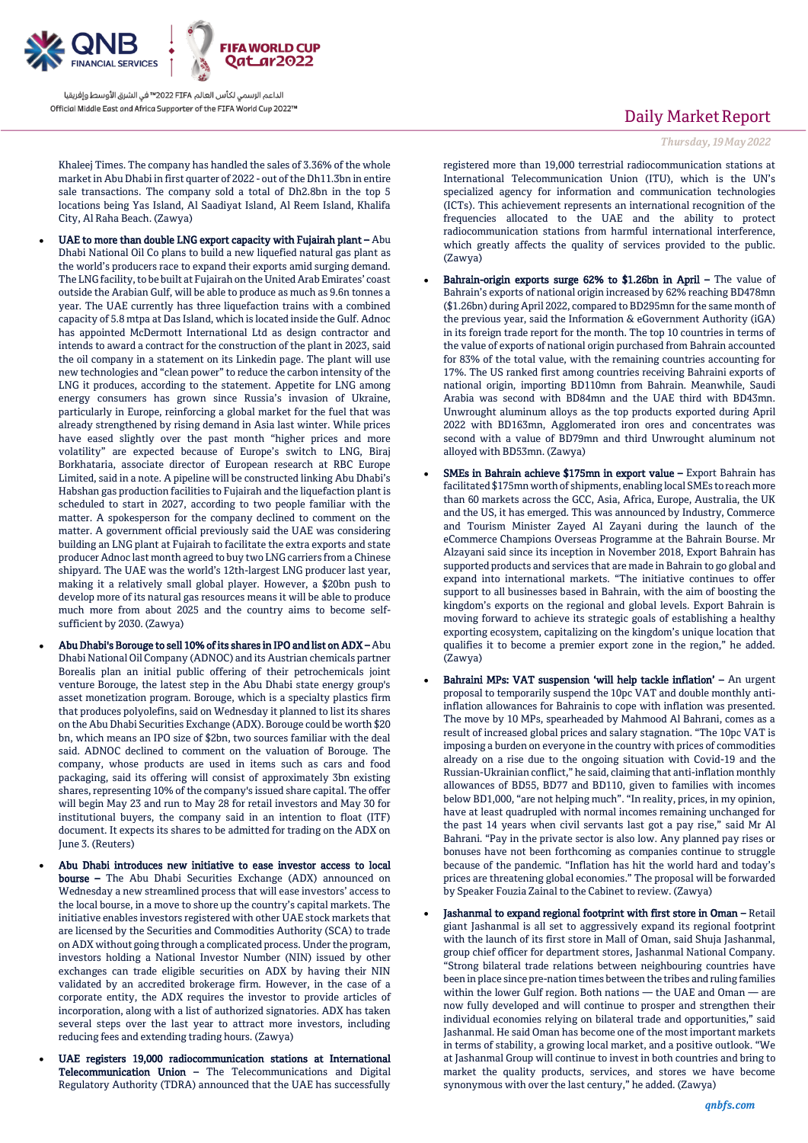

Khaleej Times. The company has handled the sales of 3.36% of the whole market in Abu Dhabi in first quarter of 2022 - out of the Dh11.3bn in entire sale transactions. The company sold a total of Dh2.8bn in the top 5 locations being Yas Island, Al Saadiyat Island, Al Reem Island, Khalifa City, Al Raha Beach. (Zawya)

- UAE to more than double LNG export capacity with Fujairah plant Abu Dhabi National Oil Co plans to build a new liquefied natural gas plant as the world's producers race to expand their exports amid surging demand. The LNG facility, to be built at Fujairah on the United Arab Emirates' coast outside the Arabian Gulf, will be able to produce as much as 9.6n tonnes a year. The UAE currently has three liquefaction trains with a combined capacity of 5.8 mtpa at Das Island, which is located inside the Gulf. Adnoc has appointed McDermott International Ltd as design contractor and intends to award a contract for the construction of the plant in 2023, said the oil company in a statement on its Linkedin page. The plant will use new technologies and "clean power" to reduce the carbon intensity of the LNG it produces, according to the statement. Appetite for LNG among energy consumers has grown since Russia's invasion of Ukraine, particularly in Europe, reinforcing a global market for the fuel that was already strengthened by rising demand in Asia last winter. While prices have eased slightly over the past month "higher prices and more volatility" are expected because of Europe's switch to LNG, Biraj Borkhataria, associate director of European research at RBC Europe Limited, said in a note. A pipeline will be constructed linking Abu Dhabi's Habshan gas production facilities to Fujairah and the liquefaction plant is scheduled to start in 2027, according to two people familiar with the matter. A spokesperson for the company declined to comment on the matter. A government official previously said the UAE was considering building an LNG plant at Fujairah to facilitate the extra exports and state producer Adnoc last month agreed to buy two LNG carriers from a Chinese shipyard. The UAE was the world's 12th-largest LNG producer last year, making it a relatively small global player. However, a \$20bn push to develop more of its natural gas resources means it will be able to produce much more from about 2025 and the country aims to become selfsufficient by 2030. (Zawya)
- Abu Dhabi's Borouge to sell 10% of its shares in IPO and list on ADX Abu Dhabi National Oil Company (ADNOC) and its Austrian chemicals partner Borealis plan an initial public offering of their petrochemicals joint venture Borouge, the latest step in the Abu Dhabi state energy group's asset monetization program. Borouge, which is a specialty plastics firm that produces polyolefins, said on Wednesday it planned to list its shares on the Abu Dhabi Securities Exchange (ADX). Borouge could be worth \$20 bn, which means an IPO size of \$2bn, two sources familiar with the deal said. ADNOC declined to comment on the valuation of Borouge. The company, whose products are used in items such as cars and food packaging, said its offering will consist of approximately 3bn existing shares, representing 10% of the company's issued share capital. The offer will begin May 23 and run to May 28 for retail investors and May 30 for institutional buyers, the company said in an intention to float (ITF) document. It expects its shares to be admitted for trading on the ADX on June 3. (Reuters)
- Abu Dhabi introduces new initiative to ease investor access to local bourse – The Abu Dhabi Securities Exchange (ADX) announced on Wednesday a new streamlined process that will ease investors' access to the local bourse, in a move to shore up the country's capital markets. The initiative enables investors registered with other UAE stock markets that are licensed by the Securities and Commodities Authority (SCA) to trade on ADX without going through a complicated process. Under the program, investors holding a National Investor Number (NIN) issued by other exchanges can trade eligible securities on ADX by having their NIN validated by an accredited brokerage firm. However, in the case of a corporate entity, the ADX requires the investor to provide articles of incorporation, along with a list of authorized signatories. ADX has taken several steps over the last year to attract more investors, including reducing fees and extending trading hours. (Zawya)
- UAE registers 19,000 radiocommunication stations at International Telecommunication Union – The Telecommunications and Digital Regulatory Authority (TDRA) announced that the UAE has successfully

## Daily Market Report

#### *Thursday, 19May 2022*

registered more than 19,000 terrestrial radiocommunication stations at International Telecommunication Union (ITU), which is the UN's specialized agency for information and communication technologies (ICTs). This achievement represents an international recognition of the frequencies allocated to the UAE and the ability to protect radiocommunication stations from harmful international interference, which greatly affects the quality of services provided to the public. (Zawya)

- Bahrain-origin exports surge 62% to \$1.26bn in April The value of Bahrain's exports of national origin increased by 62% reaching BD478mn (\$1.26bn) during April 2022, compared to BD295mn for the same month of the previous year, said the Information & eGovernment Authority (iGA) in its foreign trade report for the month. The top 10 countries in terms of the value of exports of national origin purchased from Bahrain accounted for 83% of the total value, with the remaining countries accounting for 17%. The US ranked first among countries receiving Bahraini exports of national origin, importing BD110mn from Bahrain. Meanwhile, Saudi Arabia was second with BD84mn and the UAE third with BD43mn. Unwrought aluminum alloys as the top products exported during April 2022 with BD163mn, Agglomerated iron ores and concentrates was second with a value of BD79mn and third Unwrought aluminum not alloyed with BD53mn. (Zawya)
- SMEs in Bahrain achieve \$175mn in export value Export Bahrain has facilitated \$175mn worth of shipments, enabling local SMEs to reach more than 60 markets across the GCC, Asia, Africa, Europe, Australia, the UK and the US, it has emerged. This was announced by Industry, Commerce and Tourism Minister Zayed Al Zayani during the launch of the eCommerce Champions Overseas Programme at the Bahrain Bourse. Mr Alzayani said since its inception in November 2018, Export Bahrain has supported products and services that are made in Bahrain to go global and expand into international markets. "The initiative continues to offer support to all businesses based in Bahrain, with the aim of boosting the kingdom's exports on the regional and global levels. Export Bahrain is moving forward to achieve its strategic goals of establishing a healthy exporting ecosystem, capitalizing on the kingdom's unique location that qualifies it to become a premier export zone in the region," he added. (Zawya)
- Bahraini MPs: VAT suspension 'will help tackle inflation' An urgent proposal to temporarily suspend the 10pc VAT and double monthly antiinflation allowances for Bahrainis to cope with inflation was presented. The move by 10 MPs, spearheaded by Mahmood Al Bahrani, comes as a result of increased global prices and salary stagnation. "The 10pc VAT is imposing a burden on everyone in the country with prices of commodities already on a rise due to the ongoing situation with Covid-19 and the Russian-Ukrainian conflict," he said, claiming that anti-inflation monthly allowances of BD55, BD77 and BD110, given to families with incomes below BD1,000, "are not helping much". "In reality, prices, in my opinion, have at least quadrupled with normal incomes remaining unchanged for the past 14 years when civil servants last got a pay rise," said Mr Al Bahrani. "Pay in the private sector is also low. Any planned pay rises or bonuses have not been forthcoming as companies continue to struggle because of the pandemic. "Inflation has hit the world hard and today's prices are threatening global economies." The proposal will be forwarded by Speaker Fouzia Zainal to the Cabinet to review. (Zawya)
- Jashanmal to expand regional footprint with first store in Oman Retail giant Jashanmal is all set to aggressively expand its regional footprint with the launch of its first store in Mall of Oman, said Shuja Jashanmal, group chief officer for department stores, Jashanmal National Company. "Strong bilateral trade relations between neighbouring countries have been in place since pre-nation times between the tribes and ruling families within the lower Gulf region. Both nations — the UAE and Oman — are now fully developed and will continue to prosper and strengthen their individual economies relying on bilateral trade and opportunities," said Jashanmal. He said Oman has become one of the most important markets in terms of stability, a growing local market, and a positive outlook. "We at Jashanmal Group will continue to invest in both countries and bring to market the quality products, services, and stores we have become synonymous with over the last century," he added. (Zawya)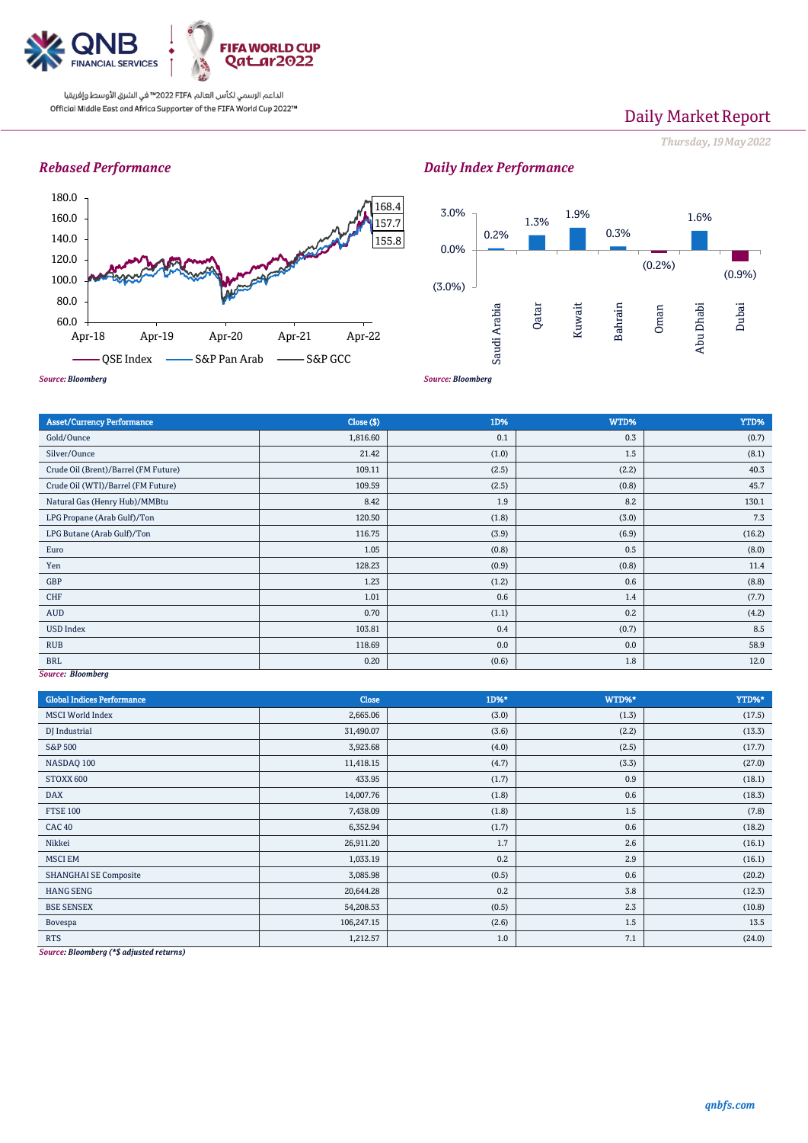

# Daily Market Report

*Thursday, 19May 2022*

## *Rebased Performance*







Asset/Currency Performance Close (\$) 1D% WTD% YTD% Gold/Ounce  $1,816.60$   $1,816.60$   $0.1$   $0.3$   $0.3$   $0.3$   $0.7$ Silver/Ounce  $21.42$   $21.42$   $(1.0)$   $1.5$   $1.5$   $(8.1)$ Crude Oil (Brent)/Barrel (FM Future) 109.11 (2.5) (2.5) (2.2) (2.2) 40.3 Crude Oil (WTI)/Barrel (FM Future) 109.59 (2.5) (0.8) 45.7 Natural Gas (Henry Hub)/MMBtu 130.1 130.1 130.2 130.1 130.1 1.9 8.42 1.9 8.2 1.9 8.2 1.9 1.9 1.9 1.9 1.9 1.9 1 LPG Propane (Arab Gulf)/Ton 120.50 (1.8) (3.0) (3.0) (3.0) (3.0) 7.3 LPG Butane (Arab Gulf)/Ton (16.2) (3.9) (6.9) (6.9) (6.9) (3.9) (6.9) (16.2) Euro 1.05 (8.0)  $1.05$  (8.0)  $(8.0)$  (8.0)  $(8.0)$  (8.0)  $(8.0)$ Yen 128.23 | (0.9) | 11.4 GBP 1.23 (8.8)  $1.23$  (1.2)  $0.6$  (8.8) CHF  $1.01$   $0.6$   $1.4$   $1.4$   $(7.7)$ AUD  $0.70$  (1.1)  $0.70$  (1.1)  $0.2$  (4.2) USD Index (0.7)  $8.5$ RUB 118.69 0.0 0.0 58.9 58.9 58.9  $\,$ BRL  $0.20$   $0.20$   $0.6$   $1.8$   $1.8$   $1.8$ 

### *Source: Bloomberg*

| <b>Global Indices Performance</b>                                                                | <b>Close</b> | 1D%*  | WTD%* | YTD%*  |
|--------------------------------------------------------------------------------------------------|--------------|-------|-------|--------|
| <b>MSCI</b> World Index                                                                          | 2,665.06     | (3.0) | (1.3) | (17.5) |
| DJ Industrial                                                                                    | 31,490.07    | (3.6) | (2.2) | (13.3) |
| <b>S&amp;P 500</b>                                                                               | 3,923.68     | (4.0) | (2.5) | (17.7) |
| NASDAQ 100                                                                                       | 11,418.15    | (4.7) | (3.3) | (27.0) |
| STOXX 600                                                                                        | 433.95       | (1.7) | 0.9   | (18.1) |
| <b>DAX</b>                                                                                       | 14,007.76    | (1.8) | 0.6   | (18.3) |
| <b>FTSE 100</b>                                                                                  | 7,438.09     | (1.8) | 1.5   | (7.8)  |
| <b>CAC 40</b>                                                                                    | 6,352.94     | (1.7) | 0.6   | (18.2) |
| Nikkei                                                                                           | 26,911.20    | 1.7   | 2.6   | (16.1) |
| <b>MSCI EM</b>                                                                                   | 1,033.19     | 0.2   | 2.9   | (16.1) |
| <b>SHANGHAI SE Composite</b>                                                                     | 3,085.98     | (0.5) | 0.6   | (20.2) |
| <b>HANG SENG</b>                                                                                 | 20,644.28    | 0.2   | 3.8   | (12.3) |
| <b>BSE SENSEX</b>                                                                                | 54,208.53    | (0.5) | 2.3   | (10.8) |
| Bovespa                                                                                          | 106,247.15   | (2.6) | 1.5   | 13.5   |
| <b>RTS</b><br>$\frac{1}{2}$ . The second contract of the second contract $\frac{1}{2}$<br>$\sim$ | 1,212.57     | 1.0   | 7.1   | (24.0) |

*Source: Bloomberg (\*\$ adjusted returns)*